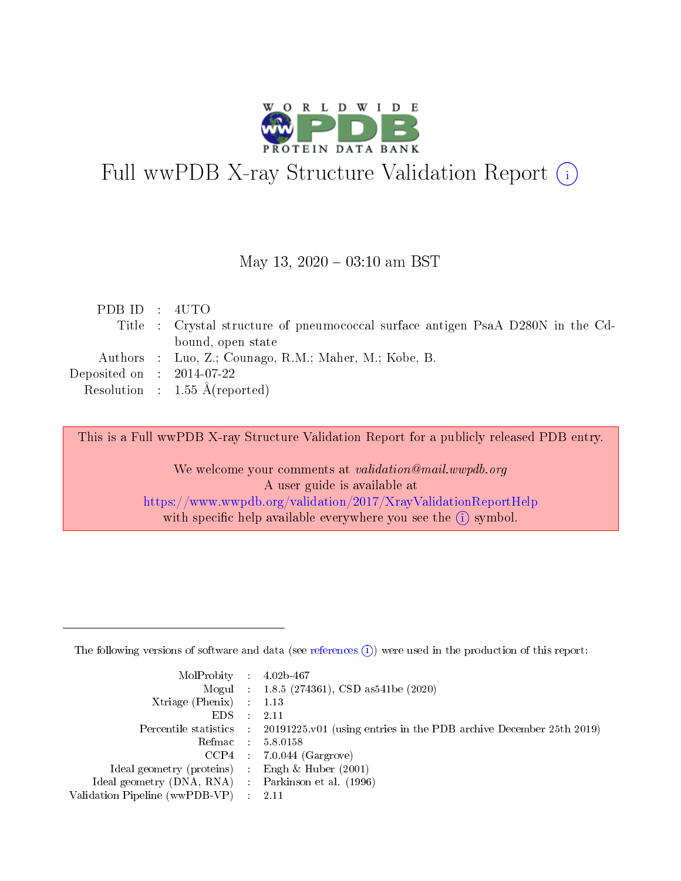

# Full wwPDB X-ray Structure Validation Report (i)

#### May 13,  $2020 - 03:10$  am BST

| PDBID : 4UTO                |                                                                                 |
|-----------------------------|---------------------------------------------------------------------------------|
|                             | Title : Crystal structure of pneumococcal surface antigen PsaA D280N in the Cd- |
|                             | bound, open state                                                               |
|                             | Authors : Luo, Z.; Counago, R.M.; Maher, M.; Kobe, B.                           |
| Deposited on : $2014-07-22$ |                                                                                 |
|                             | Resolution : $1.55 \text{ Å}$ (reported)                                        |
|                             |                                                                                 |

This is a Full wwPDB X-ray Structure Validation Report for a publicly released PDB entry.

We welcome your comments at validation@mail.wwpdb.org A user guide is available at <https://www.wwpdb.org/validation/2017/XrayValidationReportHelp> with specific help available everywhere you see the  $(i)$  symbol.

The following versions of software and data (see [references](https://www.wwpdb.org/validation/2017/XrayValidationReportHelp#references)  $(1)$ ) were used in the production of this report:

| $MolProbability$ 4.02b-467                          |               |                                                                                            |
|-----------------------------------------------------|---------------|--------------------------------------------------------------------------------------------|
|                                                     |               | Mogul : 1.8.5 (274361), CSD as 541be (2020)                                                |
| Xtriage (Phenix) $: 1.13$                           |               |                                                                                            |
| EDS.                                                | $\mathcal{L}$ | -2.11                                                                                      |
|                                                     |               | Percentile statistics : 20191225.v01 (using entries in the PDB archive December 25th 2019) |
|                                                     |               | Refmac $5.8.0158$                                                                          |
| CCP4                                                |               | $7.0.044$ (Gargrove)                                                                       |
| Ideal geometry (proteins)                           | $\sim$        | Engh $\&$ Huber (2001)                                                                     |
| Ideal geometry (DNA, RNA) : Parkinson et al. (1996) |               |                                                                                            |
| Validation Pipeline (wwPDB-VP) : 2.11               |               |                                                                                            |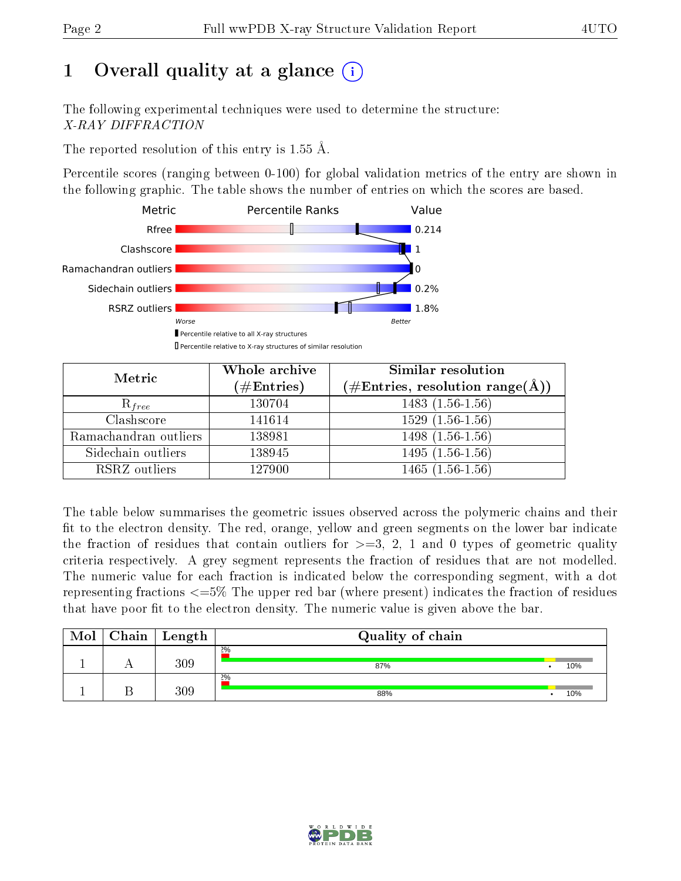# 1 [O](https://www.wwpdb.org/validation/2017/XrayValidationReportHelp#overall_quality)verall quality at a glance  $(i)$

The following experimental techniques were used to determine the structure: X-RAY DIFFRACTION

The reported resolution of this entry is 1.55 Å.

Percentile scores (ranging between 0-100) for global validation metrics of the entry are shown in the following graphic. The table shows the number of entries on which the scores are based.



| Metric                | Whole archive<br>$(\#\text{Entries})$ | Similar resolution<br>$(\#\text{Entries},\,\text{resolution}\,\,\text{range}(\textup{\AA}))$ |
|-----------------------|---------------------------------------|----------------------------------------------------------------------------------------------|
| $R_{free}$            | 130704                                | $1483(1.56-1.56)$                                                                            |
| Clashscore            | 141614                                | $1529(1.56-1.56)$                                                                            |
| Ramachandran outliers | 138981                                | $\overline{1498}$ $(1.56-1.56)$                                                              |
| Sidechain outliers    | 138945                                | $1495(1.56-1.56)$                                                                            |
| RSRZ outliers         | 127900                                | $1465(1.56-1.56)$                                                                            |

The table below summarises the geometric issues observed across the polymeric chains and their fit to the electron density. The red, orange, yellow and green segments on the lower bar indicate the fraction of residues that contain outliers for  $>=3, 2, 1$  and 0 types of geometric quality criteria respectively. A grey segment represents the fraction of residues that are not modelled. The numeric value for each fraction is indicated below the corresponding segment, with a dot representing fractions  $\epsilon=5\%$  The upper red bar (where present) indicates the fraction of residues that have poor fit to the electron density. The numeric value is given above the bar.

| Mol | Chain | $\perp$ Length | Quality of chain |  |     |  |  |  |
|-----|-------|----------------|------------------|--|-----|--|--|--|
|     |       | 309            | 2%<br>87%        |  | 10% |  |  |  |
|     |       | 309            | 2%<br>88%        |  | 10% |  |  |  |

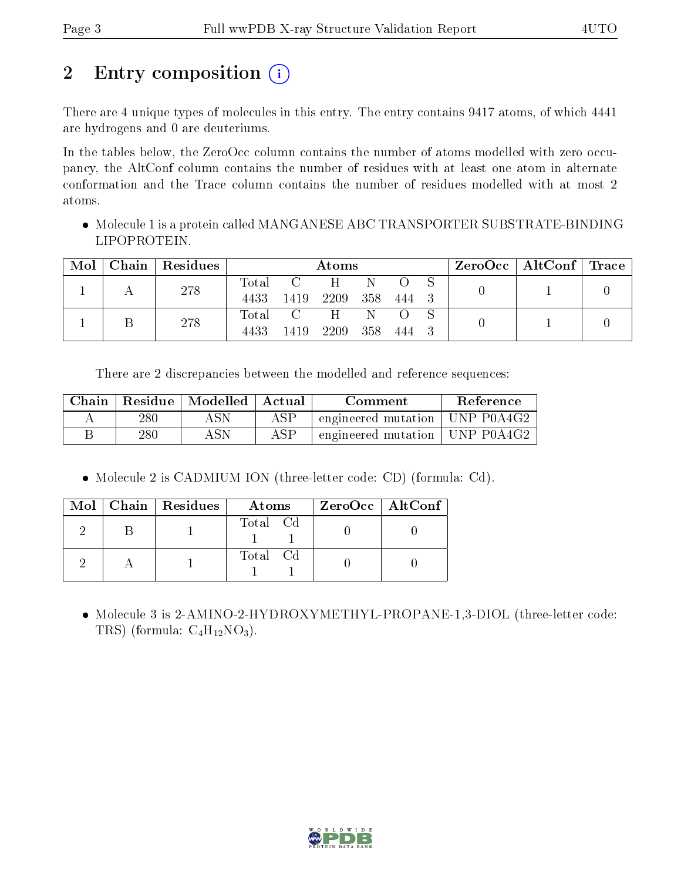# 2 Entry composition (i)

There are 4 unique types of molecules in this entry. The entry contains 9417 atoms, of which 4441 are hydrogens and 0 are deuteriums.

In the tables below, the ZeroOcc column contains the number of atoms modelled with zero occupancy, the AltConf column contains the number of residues with at least one atom in alternate conformation and the Trace column contains the number of residues modelled with at most 2 atoms.

 Molecule 1 is a protein called MANGANESE ABC TRANSPORTER SUBSTRATE-BINDING LIPOPROTEIN.

| Mol | $\mid$ Chain $\mid$ Residues | Atoms |                     |               |              |       | $\text{ZeroOcc} \mid \text{AltConf} \mid \text{Trace} \mid$ |  |  |
|-----|------------------------------|-------|---------------------|---------------|--------------|-------|-------------------------------------------------------------|--|--|
|     | 278                          | 4433  | Total C<br>- 1419 - | H<br>2209 358 | N            | 444 3 |                                                             |  |  |
|     | 278                          | 4433  | Total C<br>1419     | H<br>2209     | - N<br>- 358 | 444   |                                                             |  |  |

There are 2 discrepancies between the modelled and reference sequences:

| Chain |     | Residue   Modelled   | ' Actual | Comment                          | <b>Reference</b> |
|-------|-----|----------------------|----------|----------------------------------|------------------|
|       | 280 | $\operatorname{ASN}$ | ASP      | engineered mutation   UNP P0A4G2 |                  |
|       | 280 | ASN                  | ASP      | engineered mutation   UNP P0A4G2 |                  |

Molecule 2 is CADMIUM ION (three-letter code: CD) (formula: Cd).

|  | Mol   Chain   Residues | Atoms    | ZeroOcc   AltConf |
|--|------------------------|----------|-------------------|
|  |                        | Total Cd |                   |
|  |                        | Total Cd |                   |

• Molecule 3 is 2-AMINO-2-HYDROXYMETHYL-PROPANE-1,3-DIOL (three-letter code: TRS) (formula:  $C_4H_{12}NO_3$ ).

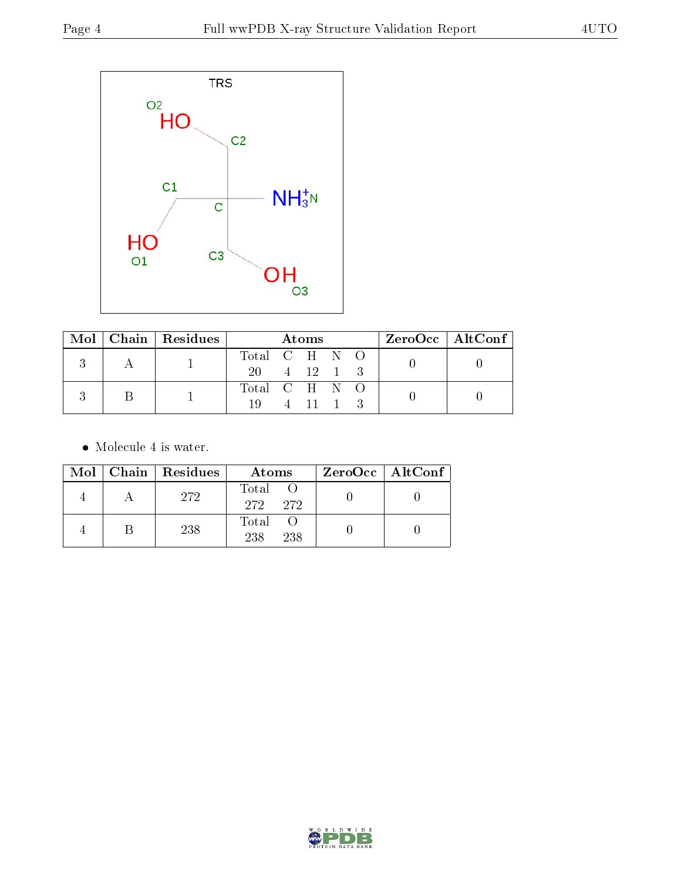

|  |  | Mol   Chain   Residues | Atoms         |  |          |  |  | $ZeroOcc \mid AltConf \mid$ |  |
|--|--|------------------------|---------------|--|----------|--|--|-----------------------------|--|
|  |  |                        | Total C H N O |  |          |  |  |                             |  |
|  |  | 20 4 12 1 3            |               |  |          |  |  |                             |  |
|  |  |                        | Total C H N O |  |          |  |  |                             |  |
|  |  |                        | 19.           |  | 4 11 1 3 |  |  |                             |  |

• Molecule 4 is water.

|  | $Mol$   Chain   Residues | Atoms               | $ZeroOcc \   \ AltConf \  $ |
|--|--------------------------|---------------------|-----------------------------|
|  | 272                      | Total<br>272 272    |                             |
|  | 238                      | Total<br>238<br>238 |                             |

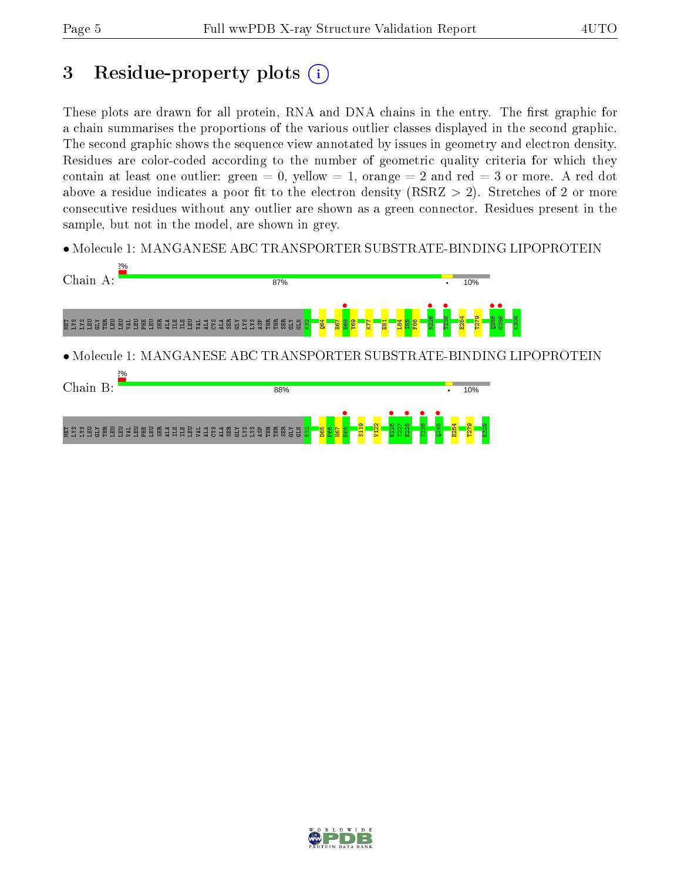# 3 Residue-property plots  $(i)$

These plots are drawn for all protein, RNA and DNA chains in the entry. The first graphic for a chain summarises the proportions of the various outlier classes displayed in the second graphic. The second graphic shows the sequence view annotated by issues in geometry and electron density. Residues are color-coded according to the number of geometric quality criteria for which they contain at least one outlier: green  $= 0$ , yellow  $= 1$ , orange  $= 2$  and red  $= 3$  or more. A red dot above a residue indicates a poor fit to the electron density (RSRZ  $> 2$ ). Stretches of 2 or more consecutive residues without any outlier are shown as a green connector. Residues present in the sample, but not in the model, are shown in grey.

• Molecule 1: MANGANESE ABC TRANSPORTER SUBSTRATE-BINDING LIPOPROTEIN



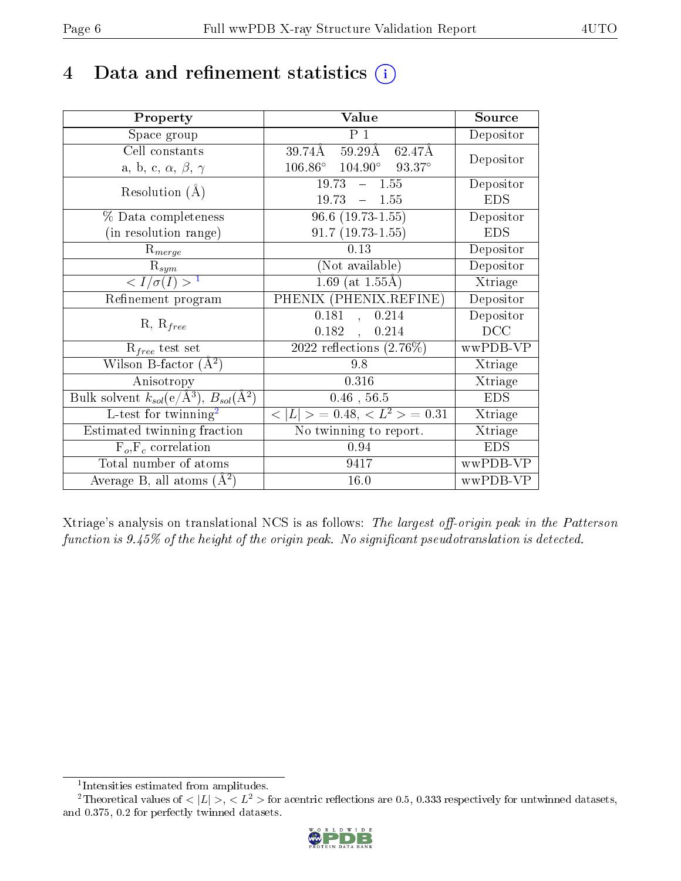# 4 Data and refinement statistics  $(i)$

| Property                                                         | Value                                             | Source     |
|------------------------------------------------------------------|---------------------------------------------------|------------|
| Space group                                                      | P <sub>1</sub>                                    | Depositor  |
| Cell constants                                                   | $59.29\text{\AA}$<br>39.74Å<br>62.47Å             | Depositor  |
| a, b, c, $\alpha$ , $\beta$ , $\gamma$                           | $106.86^{\circ}$ $104.90^{\circ}$ $93.37^{\circ}$ |            |
| Resolution $(A)$                                                 | $19.73 - 1.55$                                    | Depositor  |
|                                                                  | 19.73<br>$-1.55$                                  | <b>EDS</b> |
| % Data completeness                                              | $96.6$ $(19.73-1.55)$                             | Depositor  |
| (in resolution range)                                            | $91.7(19.73-1.55)$                                | <b>EDS</b> |
| $R_{merge}$                                                      | 0.13                                              | Depositor  |
| $\mathrm{R}_{sym}$                                               | (Not available)                                   | Depositor  |
| $\langle I/\sigma(I) \rangle^{-1}$                               | $1.69$ (at $1.55\text{\AA}$ )                     | Xtriage    |
| Refinement program                                               | PHENIX (PHENIX.REFINE)                            | Depositor  |
| $R, R_{free}$                                                    | 0.181<br>0.214<br>$\overline{\mathcal{L}}$        | Depositor  |
|                                                                  | 0.182,<br>0.214                                   | DCC        |
| $\mathcal{R}_{free}$ test set                                    | $\overline{2022}$ reflections $(2.76\%)$          | wwPDB-VP   |
| Wilson B-factor $(A^2)$                                          | 9.8                                               | Xtriage    |
| Anisotropy                                                       | 0.316                                             | Xtriage    |
| Bulk solvent $k_{sol}(\text{e}/\text{A}^3), B_{sol}(\text{A}^2)$ | $0.46$ , 56.5                                     | <b>EDS</b> |
| L-test for $\mathrm{twinning}^2$                                 | $< L >$ = 0.48, $< L2$ = 0.31                     | Xtriage    |
| Estimated twinning fraction                                      | No twinning to report.                            | Xtriage    |
| $F_o, F_c$ correlation                                           | 0.94                                              | <b>EDS</b> |
| Total number of atoms                                            | 9417                                              | wwPDB-VP   |
| Average B, all atoms $(A^2)$                                     | 16.0                                              | wwPDB-VP   |

Xtriage's analysis on translational NCS is as follows: The largest off-origin peak in the Patterson function is  $9.45\%$  of the height of the origin peak. No significant pseudotranslation is detected.

<sup>&</sup>lt;sup>2</sup>Theoretical values of  $\langle |L| \rangle$ ,  $\langle L^2 \rangle$  for acentric reflections are 0.5, 0.333 respectively for untwinned datasets, and 0.375, 0.2 for perfectly twinned datasets.



<span id="page-5-1"></span><span id="page-5-0"></span><sup>1</sup> Intensities estimated from amplitudes.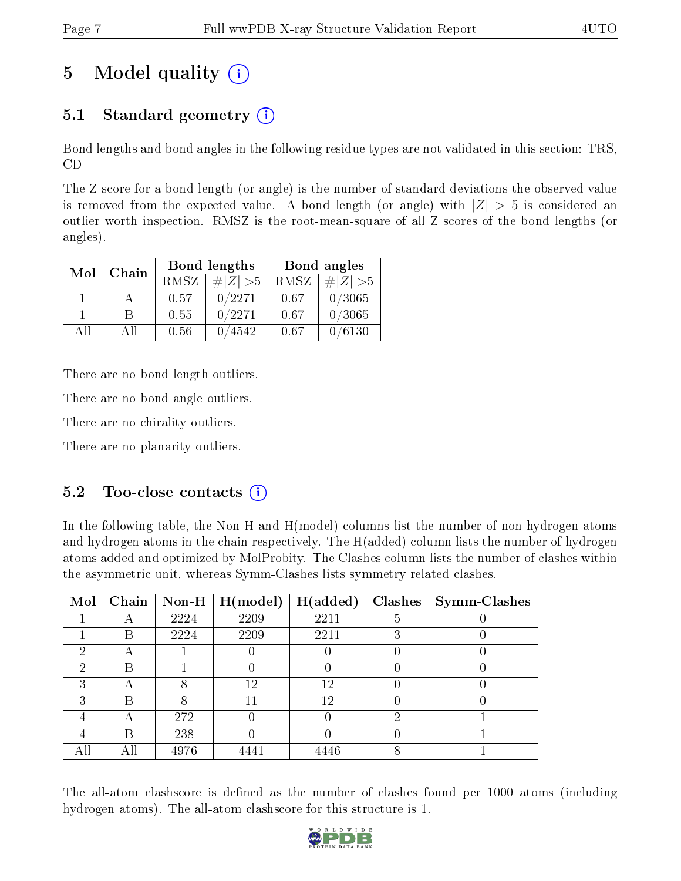# 5 Model quality  $(i)$

# 5.1 Standard geometry  $(i)$

Bond lengths and bond angles in the following residue types are not validated in this section: TRS, CD

The Z score for a bond length (or angle) is the number of standard deviations the observed value is removed from the expected value. A bond length (or angle) with  $|Z| > 5$  is considered an outlier worth inspection. RMSZ is the root-mean-square of all Z scores of the bond lengths (or angles).

| Mol          | Chain |      | <b>Bond lengths</b> | Bond angles |             |  |
|--------------|-------|------|---------------------|-------------|-------------|--|
|              |       | RMSZ | $\# Z  > 5$         | RMSZ        | $\ Z\  > 5$ |  |
| $\mathbf{1}$ |       | 0.57 | 0/2271              | 0.67        | 0/3065      |  |
|              | R     | 0.55 | 0/2271              | 0.67        | 0/3065      |  |
| AΠ           | A 11  | 0.56 | 4542                | 0.67        | /6130       |  |

There are no bond length outliers.

There are no bond angle outliers.

There are no chirality outliers.

There are no planarity outliers.

## $5.2$  Too-close contacts  $(i)$

In the following table, the Non-H and H(model) columns list the number of non-hydrogen atoms and hydrogen atoms in the chain respectively. The H(added) column lists the number of hydrogen atoms added and optimized by MolProbity. The Clashes column lists the number of clashes within the asymmetric unit, whereas Symm-Clashes lists symmetry related clashes.

| Mol | Chain                    |      | $\mid$ Non-H $\mid$ H(model) | H(added) |   | $Clashes$   Symm-Clashes |
|-----|--------------------------|------|------------------------------|----------|---|--------------------------|
|     |                          | 2224 | 2209                         | 2211     |   |                          |
|     | В                        | 2224 | 2209                         | 2211     |   |                          |
| 2   | $\overline{\phantom{a}}$ |      |                              |          |   |                          |
| 2   | R                        |      |                              |          |   |                          |
| 3   | Η                        |      | 12                           | 12       |   |                          |
| 3   | В                        |      |                              | 12       |   |                          |
|     |                          | 272  |                              |          | റ |                          |
|     | В                        | 238  |                              |          |   |                          |
| All | Аll                      | 4976 |                              | 4446     |   |                          |

The all-atom clashscore is defined as the number of clashes found per 1000 atoms (including hydrogen atoms). The all-atom clashscore for this structure is 1.

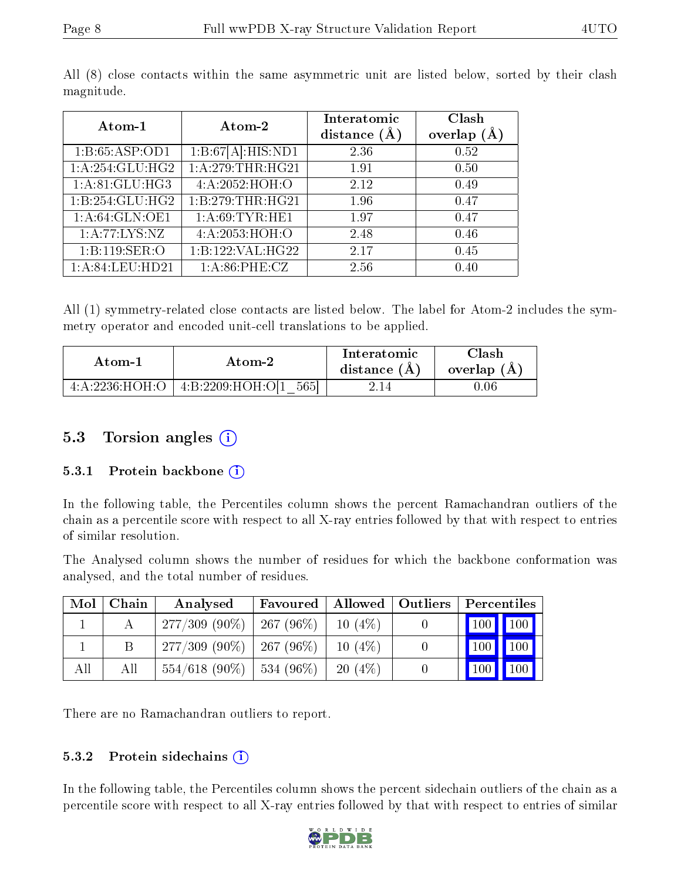| Atom-1            | Atom-2            | Interatomic<br>distance $(\AA)$ | Clash<br>overlap $(A)$ |
|-------------------|-------------------|---------------------------------|------------------------|
| 1:B:65:ASP:OD1    | 1:B:67[A]:HIS:ND1 | 2.36                            | 0.52                   |
| 1:A:254:GLU:HG2   | 1:A:279:THR:HG21  | 1.91                            | 0.50                   |
| 1:A:81:GLU:HG3    | 4:A:2052:HOH:O    | 2.12                            | 0.49                   |
| 1:B:254:GLU:HG2   | 1:B:279:THR:HG21  | 1.96                            | 0.47                   |
| 1:A:64:GLN:OE1    | 1: A:69: TYR: HE1 | 1.97                            | 0.47                   |
| 1: A: 77: LYS: NZ | 4:A:2053:HOH:O    | 2.48                            | 0.46                   |
| 1:B:119:SER:O     | 1:B:122:VAL:HG22  | 2.17                            | 0.45                   |
| 1:A:84:LEU:HD21   | 1: A:86:PHE:CZ    | 2.56                            | 0.40                   |

All (8) close contacts within the same asymmetric unit are listed below, sorted by their clash magnitude.

All (1) symmetry-related close contacts are listed below. The label for Atom-2 includes the symmetry operator and encoded unit-cell translations to be applied.

| Atom-1             |                                | Interatomic    | $\gamma$ lash |
|--------------------|--------------------------------|----------------|---------------|
| Atom-2             |                                | distance $(A)$ | overlap $(A)$ |
| 4: A: 2236: HOH: O | 5651<br>$+4: B: 2209$ :HOH:OI1 |                | .06           |

## 5.3 Torsion angles (i)

#### 5.3.1 Protein backbone  $(i)$

In the following table, the Percentiles column shows the percent Ramachandran outliers of the chain as a percentile score with respect to all X-ray entries followed by that with respect to entries of similar resolution.

The Analysed column shows the number of residues for which the backbone conformation was analysed, and the total number of residues.

| Mol | Chain | Analysed                      | Favoured              | Allowed   | Outliers | Percentiles         |              |
|-----|-------|-------------------------------|-----------------------|-----------|----------|---------------------|--------------|
|     |       | $277/309(90\%)$               | 267 (96 $%$ )         | $10(4\%)$ |          | $\vert$ 100 $\vert$ | $\sqrt{100}$ |
|     |       | $277/309$ (90\%)   267 (96\%) |                       | $10(4\%)$ |          | $\vert$ 100 $\vert$ | $\vert$ 100  |
| All | Аll   | $554/618(90\%)$               | $\frac{1}{534}$ (96%) | 20(4%)    |          | $\sqrt{100}$        | $\sqrt{100}$ |

There are no Ramachandran outliers to report.

#### 5.3.2 Protein sidechains  $(i)$

In the following table, the Percentiles column shows the percent sidechain outliers of the chain as a percentile score with respect to all X-ray entries followed by that with respect to entries of similar

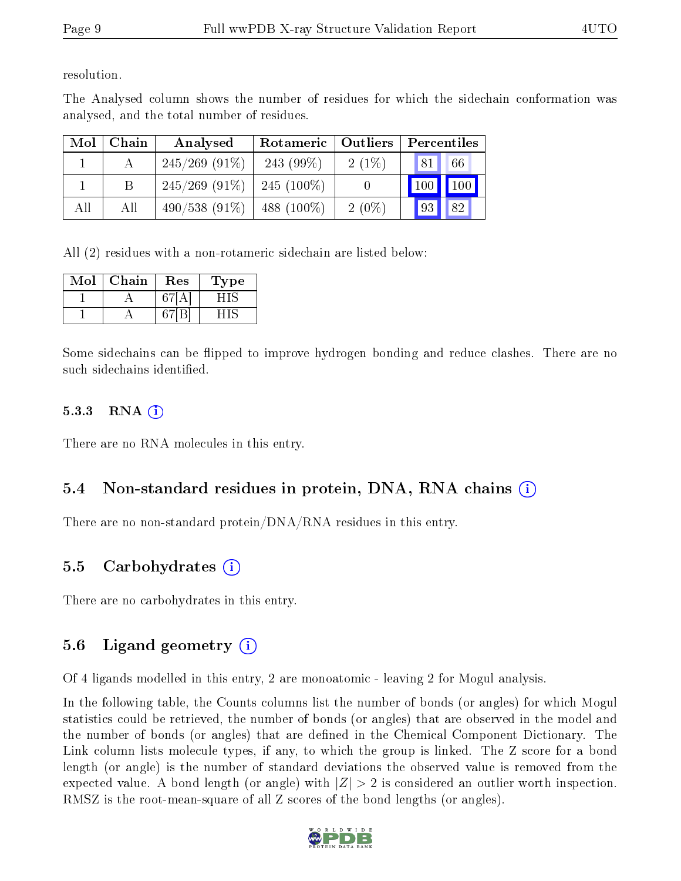resolution.

The Analysed column shows the number of residues for which the sidechain conformation was analysed, and the total number of residues.

| Mol | Chain | Analysed         | Rotameric   Outliers |          | Percentiles         |
|-----|-------|------------------|----------------------|----------|---------------------|
|     |       | $245/269$ (91\%) | 243 $(99\%)$         | $2(1\%)$ | 181'<br>66          |
|     |       | $245/269$ (91\%) | $-245(100\%)$        |          | 100<br>$\sqrt{100}$ |
| All | All   | $490/538(91\%)$  | 488 $(100\%)$        | $2(0\%)$ | 82<br> 93           |

All (2) residues with a non-rotameric sidechain are listed below:

| Mol | Chain | $\operatorname{Res}% \left( \mathcal{N}\right) \equiv\operatorname{Res}(\mathcal{N}_{0})\cap\mathcal{N}_{1}$ | 1'ype |
|-----|-------|--------------------------------------------------------------------------------------------------------------|-------|
|     |       |                                                                                                              |       |
|     |       |                                                                                                              |       |

Some sidechains can be flipped to improve hydrogen bonding and reduce clashes. There are no such sidechains identified.

### $5.3.3$  RNA  $(i)$

There are no RNA molecules in this entry.

## 5.4 Non-standard residues in protein, DNA, RNA chains (i)

There are no non-standard protein/DNA/RNA residues in this entry.

## 5.5 Carbohydrates (i)

There are no carbohydrates in this entry.

# 5.6 Ligand geometry  $(i)$

Of 4 ligands modelled in this entry, 2 are monoatomic - leaving 2 for Mogul analysis.

In the following table, the Counts columns list the number of bonds (or angles) for which Mogul statistics could be retrieved, the number of bonds (or angles) that are observed in the model and the number of bonds (or angles) that are defined in the Chemical Component Dictionary. The Link column lists molecule types, if any, to which the group is linked. The Z score for a bond length (or angle) is the number of standard deviations the observed value is removed from the expected value. A bond length (or angle) with  $|Z| > 2$  is considered an outlier worth inspection. RMSZ is the root-mean-square of all Z scores of the bond lengths (or angles).

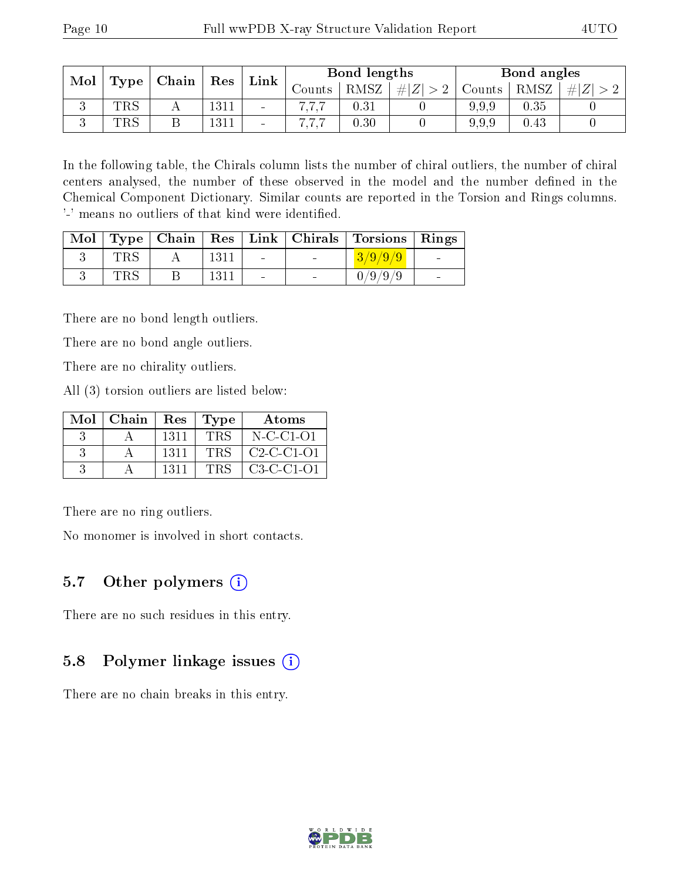| Mol |                    | $\mid$ Chain $\mid$ | Res  | Link                     |          | Bond lengths |        |        | Bond angles |      |
|-----|--------------------|---------------------|------|--------------------------|----------|--------------|--------|--------|-------------|------|
|     | $\top$ Type $\top$ |                     |      |                          | Jounts . | RMSZ         | $+ Z $ | Counts | RMSZ        | H  Z |
| ◡   | $_{\rm TRS}$       |                     | 1311 | $\overline{\phantom{0}}$ |          | 0.31         |        | 9.9.9  | 0.35        |      |
|     | $_{\rm TRS}$       |                     | 1311 | $\overline{\phantom{a}}$ |          | 0.30         |        | 9.9.9  | 0.43        |      |

In the following table, the Chirals column lists the number of chiral outliers, the number of chiral centers analysed, the number of these observed in the model and the number defined in the Chemical Component Dictionary. Similar counts are reported in the Torsion and Rings columns. '-' means no outliers of that kind were identified.

|              |      |                          |                          | Mol   Type   Chain   Res   Link   Chirals   Torsions   Rings |                 |
|--------------|------|--------------------------|--------------------------|--------------------------------------------------------------|-----------------|
| $_{\rm TRS}$ | 1311 | $\sim$                   | <b>Contract Contract</b> | $3/9/9/9$                                                    | $\sim$          |
| $_{\rm TRS}$ | 1311 | $\overline{\phantom{0}}$ |                          | 0/9/9/9                                                      | $\qquad \qquad$ |

There are no bond length outliers.

There are no bond angle outliers.

There are no chirality outliers.

All (3) torsion outliers are listed below:

|    | $Mol$   Chain | Res  | Type       | Atoms        |
|----|---------------|------|------------|--------------|
|    |               | 1311 | <b>TRS</b> | $N$ -C-C1-O1 |
| -3 |               | 1311 | <b>TRS</b> | $C2-C-C1-O1$ |
|    |               | 1311 | <b>TRS</b> | $C3-C-C1-O1$ |

There are no ring outliers.

No monomer is involved in short contacts.

### 5.7 [O](https://www.wwpdb.org/validation/2017/XrayValidationReportHelp#nonstandard_residues_and_ligands)ther polymers  $(i)$

There are no such residues in this entry.

### 5.8 Polymer linkage issues  $(i)$

There are no chain breaks in this entry.

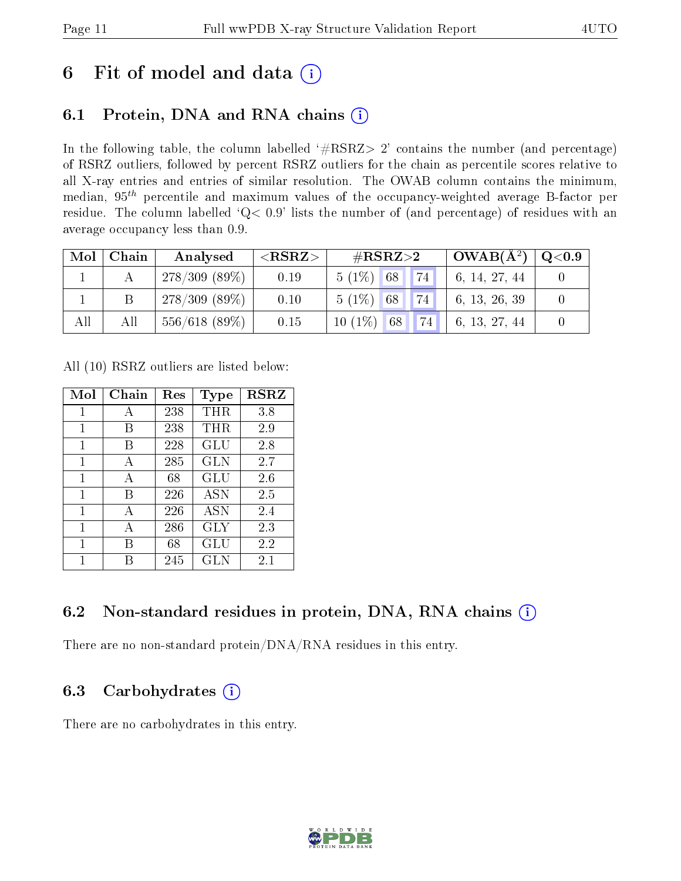# 6 Fit of model and data  $\overline{a}$

# 6.1 Protein, DNA and RNA chains  $(i)$

In the following table, the column labelled  $#RSRZ> 2'$  contains the number (and percentage) of RSRZ outliers, followed by percent RSRZ outliers for the chain as percentile scores relative to all X-ray entries and entries of similar resolution. The OWAB column contains the minimum, median,  $95<sup>th</sup>$  percentile and maximum values of the occupancy-weighted average B-factor per residue. The column labelled ' $Q< 0.9$ ' lists the number of (and percentage) of residues with an average occupancy less than 0.9.

| Mol | Chain | Analysed         | $<$ RSRZ $>$ | $\rm \#RSRZ{>}2$        | $+$ OWAB( $A^2$ ) <sup>+</sup> | $\rm Q\textcolor{black}{<}0.9$ |
|-----|-------|------------------|--------------|-------------------------|--------------------------------|--------------------------------|
|     |       | $278/309(89\%)$  | 0.19         | 74<br>$5(1\%)$ 68       | 6, 14, 27, 44                  |                                |
|     |       | $278/309(89\%)$  | 0.10         | 74<br>$5(1\%)$ 68       | 6, 13, 26, 39                  |                                |
| All | All   | $556/618$ (89\%) | 0.15         | $10(1\%)$<br> 74 <br>68 | 6, 13, 27, 44                  |                                |

All (10) RSRZ outliers are listed below:

| Mol          | Chain | $\operatorname{Res}% \left( \mathcal{N}\right) \equiv\operatorname{Res}(\mathcal{N}_{0})\cap\mathcal{N}_{1}$ | <b>Type</b> | <b>RSRZ</b> |
|--------------|-------|--------------------------------------------------------------------------------------------------------------|-------------|-------------|
| $\mathbf{1}$ | А     | 238                                                                                                          | THR         | 3.8         |
| 1            | В     | 238                                                                                                          | THR         | 2.9         |
| 1            | В     | 228                                                                                                          | GLU         | 2.8         |
| 1            | A     | 285                                                                                                          | <b>GLN</b>  | 2.7         |
| 1            | A     | 68                                                                                                           | GLU         | 2.6         |
| 1            | В     | 226                                                                                                          | <b>ASN</b>  | 2.5         |
| $\mathbf{1}$ | A     | 226                                                                                                          | <b>ASN</b>  | 2.4         |
| 1            | А     | 286                                                                                                          | GLY         | 2.3         |
| 1            | В     | 68                                                                                                           | GLU         | 2.2         |
| 1            | R     | 245                                                                                                          | GLN         | 2.1         |

# 6.2 Non-standard residues in protein, DNA, RNA chains  $(i)$

There are no non-standard protein/DNA/RNA residues in this entry.

## 6.3 Carbohydrates  $(i)$

There are no carbohydrates in this entry.